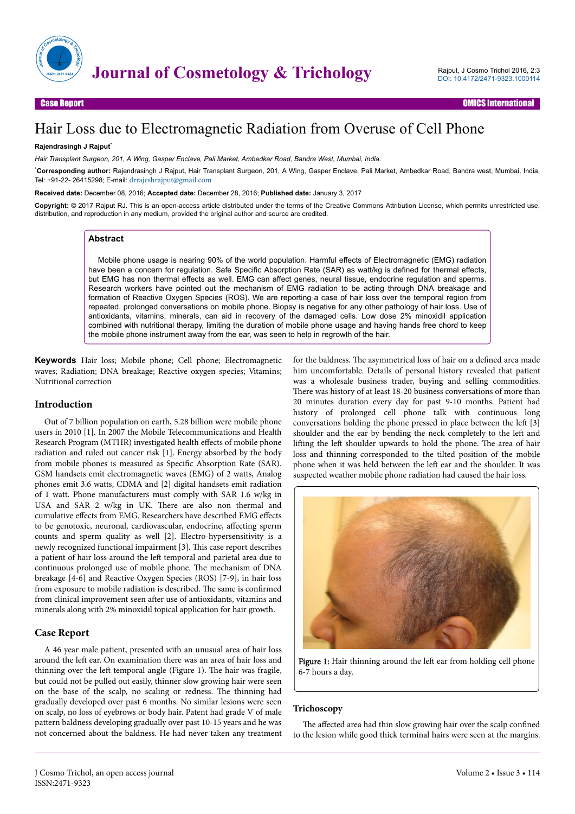

# Hair Loss due to Electromagnetic Radiation from Overuse of Cell Phone

#### **Rajendrasingh J Rajput**\*

*Hair Transplant Surgeon, 201, A Wing, Gasper Enclave, Pali Market, Ambedkar Road, Bandra West, Mumbai, India.*

\***Corresponding author:** Rajendrasingh J Rajput**,** Hair Transplant Surgeon, 201, A Wing, Gasper Enclave, Pali Market, Ambedkar Road, Bandra west, Mumbai, India, Tel: +91-22- 26415298; E-mail: [drrajeshrajput@gmail.com](mailto:drrajeshrajput@gmail.com)

**Received date:** December 08, 2016; **Accepted date:** December 28, 2016; **Published date:** January 3, 2017

**Copyright:** © 2017 Rajput RJ. This is an open-access article distributed under the terms of the Creative Commons Attribution License, which permits unrestricted use, distribution, and reproduction in any medium, provided the original author and source are credited.

## **Abstract**

Mobile phone usage is nearing 90% of the world population. Harmful effects of Electromagnetic (EMG) radiation have been a concern for regulation. Safe Specific Absorption Rate (SAR) as watt/kg is defined for thermal effects, but EMG has non thermal effects as well. EMG can affect genes, neural tissue, endocrine regulation and sperms. Research workers have pointed out the mechanism of EMG radiation to be acting through DNA breakage and formation of Reactive Oxygen Species (ROS). We are reporting a case of hair loss over the temporal region from repeated, prolonged conversations on mobile phone. Biopsy is negative for any other pathology of hair loss. Use of antioxidants, vitamins, minerals, can aid in recovery of the damaged cells. Low dose 2% minoxidil application combined with nutritional therapy, limiting the duration of mobile phone usage and having hands free chord to keep the mobile phone instrument away from the ear, was seen to help in regrowth of the hair.

**Keywords** Hair loss; Mobile phone; Cell phone; Electromagnetic waves; Radiation; DNA breakage; Reactive oxygen species; Vitamins; Nutritional correction

### **Introduction**

Out of 7 billion population on earth, 5.28 billion were mobile phone users in 2010 [1]. In 2007 the Mobile Telecommunications and Health Research Program (MTHR) investigated health effects of mobile phone radiation and ruled out cancer risk [1]. Energy absorbed by the body from mobile phones is measured as Specific Absorption Rate (SAR). GSM handsets emit electromagnetic waves (EMG) of 2 watts, Analog phones emit 3.6 watts, CDMA and [2] digital handsets emit radiation of 1 watt. Phone manufacturers must comply with SAR 1.6 w/kg in USA and SAR 2 w/kg in UK. Нere are also non thermal and cumulative effects from EMG. Researchers have described EMG effects to be genotoxic, neuronal, cardiovascular, endocrine, affecting sperm counts and sperm quality as well [2]. Electro-hypersensitivity is a newly recognized functional impairment [3]. This case report describes a patient of hair loss around the left temporal and parietal area due to continuous prolonged use of mobile phone. Нe mechanism of DNA breakage [4-6] and Reactive Oxygen Species (ROS) [7-9], in hair loss from exposure to mobile radiation is described. Нe same is confirmed from clinical improvement seen after use of antioxidants, vitamins and minerals along with 2% minoxidil topical application for hair growth.

# **Case Report**

A 46 year male patient, presented with an unusual area of hair loss around the left ear. On examination there was an area of hair loss and thinning over the left temporal angle (Figure 1). The hair was fragile, but could not be pulled out easily, thinner slow growing hair were seen on the base of the scalp, no scaling or redness. Нe thinning had gradually developed over past 6 months. No similar lesions were seen on scalp, no loss of eyebrows or body hair. Patent had grade V of male pattern baldness developing gradually over past 10-15 years and he was not concerned about the baldness. He had never taken any treatment

for the baldness. Нe asymmetrical loss of hair on a defined area made him uncomfortable. Details of personal history revealed that patient was a wholesale business trader, buying and selling commodities. There was history of at least 18-20 business conversations of more than 20 minutes duration every day for past 9-10 months. Patient had history of prolonged cell phone talk with continuous long conversations holding the phone pressed in place between the left [3] shoulder and the ear by bending the neck completely to the left and lifting the left shoulder upwards to hold the phone. The area of hair loss and thinning corresponded to the tilted position of the mobile phone when it was held between the left ear and the shoulder. It was suspected weather mobile phone radiation had caused the hair loss.



Figure 1: Hair thinning around the left ear from holding cell phone 6-7 hours a day.

## **Trichoscopy**

The affected area had thin slow growing hair over the scalp confined to the lesion while good thick terminal hairs were seen at the margins.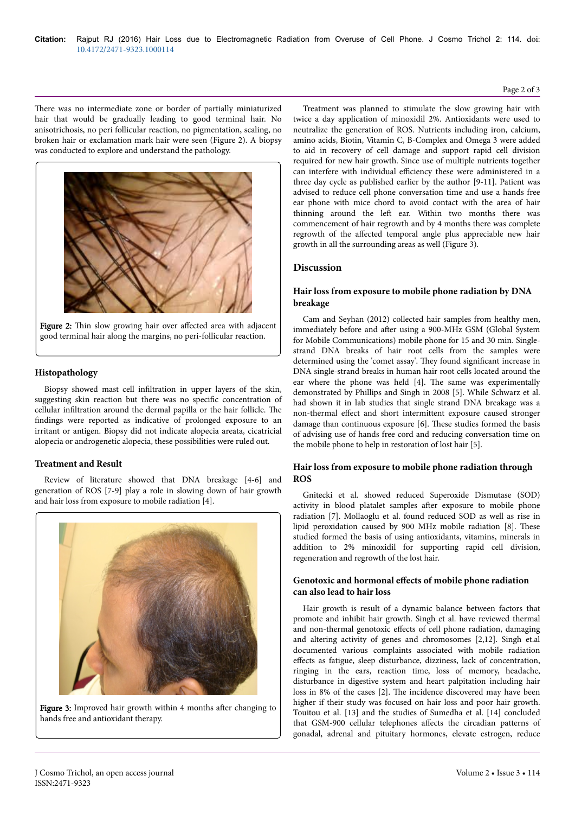There was no intermediate zone or border of partially miniaturized hair that would be gradually leading to good terminal hair. No anisotrichosis, no peri follicular reaction, no pigmentation, scaling, no broken hair or exclamation mark hair were seen (Figure 2). A biopsy was conducted to explore and understand the pathology.



Figure 2: Thin slow growing hair over affected area with adjacent good terminal hair along the margins, no peri-follicular reaction.

# **Histopathology**

Biopsy showed mast cell infiltration in upper layers of the skin, suggesting skin reaction but there was no specific concentration of cellular infiltration around the dermal papilla or the hair follicle. The findings were reported as indicative of prolonged exposure to an irritant or antigen. Biopsy did not indicate alopecia areata, cicatricial alopecia or androgenetic alopecia, these possibilities were ruled out.

# **Treatment and Result**

Review of literature showed that DNA breakage [4-6] and generation of ROS [7-9] play a role in slowing down of hair growth and hair loss from exposure to mobile radiation [4].



Figure 3: Improved hair growth within 4 months after changing to hands free and antioxidant therapy.

Treatment was planned to stimulate the slow growing hair with twice a day application of minoxidil 2%. Antioxidants were used to neutralize the generation of ROS. Nutrients including iron, calcium, amino acids, Biotin, Vitamin C, B-Complex and Omega 3 were added to aid in recovery of cell damage and support rapid cell division required for new hair growth. Since use of multiple nutrients together can interfere with individual efficiency these were administered in a three day cycle as published earlier by the author [9-11]. Patient was advised to reduce cell phone conversation time and use a hands free ear phone with mice chord to avoid contact with the area of hair thinning around the left ear. Within two months there was commencement of hair regrowth and by 4 months there was complete regrowth of the affected temporal angle plus appreciable new hair growth in all the surrounding areas as well (Figure 3).

# **Discussion**

# **Hair loss from exposure to mobile phone radiation by DNA breakage**

Cam and Seyhan (2012) collected hair samples from healthy men, immediately before and after using a 900-MHz GSM (Global System for Mobile Communications) mobile phone for 15 and 30 min. Singlestrand DNA breaks of hair root cells from the samples were determined using the 'comet assay'. They found significant increase in DNA single-strand breaks in human hair root cells located around the ear where the phone was held [4]. The same was experimentally demonstrated by Phillips and Singh in 2008 [5]. While Schwarz et al. had shown it in lab studies that single strand DNA breakage was a non-thermal effect and short intermittent exposure caused stronger damage than continuous exposure [6]. Нese studies formed the basis of advising use of hands free cord and reducing conversation time on the mobile phone to help in restoration of lost hair [5].

# **Hair loss from exposure to mobile phone radiation through ROS**

Gnitecki et al. showed reduced Superoxide Dismutase (SOD) activity in blood platalet samples after exposure to mobile phone radiation [7]. Mollaoglu et al. found reduced SOD as well as rise in lipid peroxidation caused by 900 MHz mobile radiation [8]. Нese studied formed the basis of using antioxidants, vitamins, minerals in addition to 2% minoxidil for supporting rapid cell division, regeneration and regrowth of the lost hair.

# Genotoxic and hormonal effects of mobile phone radiation **can also lead to hair loss**

Hair growth is result of a dynamic balance between factors that promote and inhibit hair growth. Singh et al. have reviewed thermal and non-thermal genotoxic effects of cell phone radiation, damaging and altering activity of genes and chromosomes [2,12]. Singh et.al documented various complaints associated with mobile radiation effects as fatigue, sleep disturbance, dizziness, lack of concentration, ringing in the ears, reaction time, loss of memory, headache, disturbance in digestive system and heart palpitation including hair loss in 8% of the cases [2]. Нe incidence discovered may have been higher if their study was focused on hair loss and poor hair growth. Touitou et al. [13] and the studies of Sumedha et al. [14] concluded that GSM-900 cellular telephones affects the circadian patterns of gonadal, adrenal and pituitary hormones, elevate estrogen, reduce

### Page 2 of 3